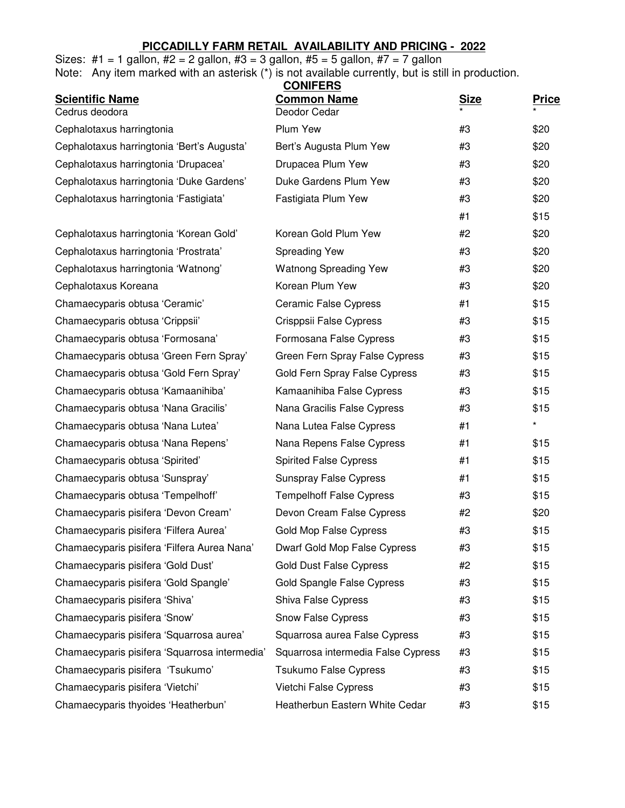## **PICCADILLY FARM RETAIL AVAILABILITY AND PRICING - 2022**

|  |  |  |  |  |  |  | Sizes: #1 = 1 gallon, #2 = 2 gallon, #3 = 3 gallon, #5 = 5 gallon, #7 = 7 gallon |  |  |   |
|--|--|--|--|--|--|--|----------------------------------------------------------------------------------|--|--|---|
|  |  |  |  |  |  |  |                                                                                  |  |  | . |

Note: Any item marked with an asterisk (\*) is not available currently, but is still in production.

|                                               | <b>CONIFERS</b><br><b>Common Name</b> |             |              |
|-----------------------------------------------|---------------------------------------|-------------|--------------|
| <b>Scientific Name</b><br>Cedrus deodora      | Deodor Cedar                          | <b>Size</b> | <u>Price</u> |
| Cephalotaxus harringtonia                     | Plum Yew                              | #3          | \$20         |
| Cephalotaxus harringtonia 'Bert's Augusta'    | Bert's Augusta Plum Yew               | #3          | \$20         |
| Cephalotaxus harringtonia 'Drupacea'          | Drupacea Plum Yew                     | #3          | \$20         |
| Cephalotaxus harringtonia 'Duke Gardens'      | Duke Gardens Plum Yew                 | #3          | \$20         |
| Cephalotaxus harringtonia 'Fastigiata'        | Fastigiata Plum Yew                   | #3          | \$20         |
|                                               |                                       | #1          | \$15         |
| Cephalotaxus harringtonia 'Korean Gold'       | Korean Gold Plum Yew                  | #2          | \$20         |
| Cephalotaxus harringtonia 'Prostrata'         | <b>Spreading Yew</b>                  | #3          | \$20         |
| Cephalotaxus harringtonia 'Watnong'           | <b>Watnong Spreading Yew</b>          | #3          | \$20         |
| Cephalotaxus Koreana                          | Korean Plum Yew                       | #3          | \$20         |
| Chamaecyparis obtusa 'Ceramic'                | <b>Ceramic False Cypress</b>          | #1          | \$15         |
| Chamaecyparis obtusa 'Crippsii'               | Crisppsii False Cypress               | #3          | \$15         |
| Chamaecyparis obtusa 'Formosana'              | Formosana False Cypress               | #3          | \$15         |
| Chamaecyparis obtusa 'Green Fern Spray'       | Green Fern Spray False Cypress        | #3          | \$15         |
| Chamaecyparis obtusa 'Gold Fern Spray'        | Gold Fern Spray False Cypress         | #3          | \$15         |
| Chamaecyparis obtusa 'Kamaanihiba'            | Kamaanihiba False Cypress             | #3          | \$15         |
| Chamaecyparis obtusa 'Nana Gracilis'          | Nana Gracilis False Cypress           | #3          | \$15         |
| Chamaecyparis obtusa 'Nana Lutea'             | Nana Lutea False Cypress              | #1          | $\star$      |
| Chamaecyparis obtusa 'Nana Repens'            | Nana Repens False Cypress             | #1          | \$15         |
| Chamaecyparis obtusa 'Spirited'               | <b>Spirited False Cypress</b>         | #1          | \$15         |
| Chamaecyparis obtusa 'Sunspray'               | <b>Sunspray False Cypress</b>         | #1          | \$15         |
| Chamaecyparis obtusa 'Tempelhoff'             | <b>Tempelhoff False Cypress</b>       | #3          | \$15         |
| Chamaecyparis pisifera 'Devon Cream'          | Devon Cream False Cypress             | #2          | \$20         |
| Chamaecyparis pisifera 'Filfera Aurea'        | Gold Mop False Cypress                | #3          | \$15         |
| Chamaecyparis pisifera 'Filfera Aurea Nana'   | Dwarf Gold Mop False Cypress          | #3          | \$15         |
| Chamaecyparis pisifera 'Gold Dust'            | <b>Gold Dust False Cypress</b>        | #2          | \$15         |
| Chamaecyparis pisifera 'Gold Spangle'         | Gold Spangle False Cypress            | #3          | \$15         |
| Chamaecyparis pisifera 'Shiva'                | Shiva False Cypress                   | #3          | \$15         |
| Chamaecyparis pisifera 'Snow'                 | Snow False Cypress                    | #3          | \$15         |
| Chamaecyparis pisifera 'Squarrosa aurea'      | Squarrosa aurea False Cypress         | #3          | \$15         |
| Chamaecyparis pisifera 'Squarrosa intermedia' | Squarrosa intermedia False Cypress    | #3          | \$15         |
| Chamaecyparis pisifera 'Tsukumo'              | <b>Tsukumo False Cypress</b>          | #3          | \$15         |
| Chamaecyparis pisifera 'Vietchi'              | Vietchi False Cypress                 | #3          | \$15         |
| Chamaecyparis thyoides 'Heatherbun'           | Heatherbun Eastern White Cedar        | #3          | \$15         |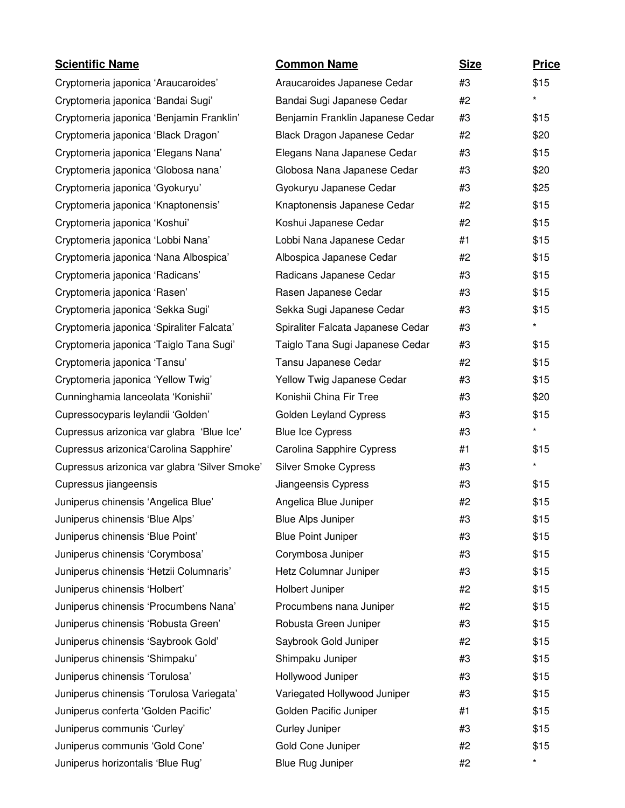| <b>Scientific Name</b>                        | <b>Common Name</b>                | <b>Size</b> | <b>Price</b> |
|-----------------------------------------------|-----------------------------------|-------------|--------------|
| Cryptomeria japonica 'Araucaroides'           | Araucaroides Japanese Cedar       | #3          | \$15         |
| Cryptomeria japonica 'Bandai Sugi'            | Bandai Sugi Japanese Cedar        | #2          | $\star$      |
| Cryptomeria japonica 'Benjamin Franklin'      | Benjamin Franklin Japanese Cedar  | #3          | \$15         |
| Cryptomeria japonica 'Black Dragon'           | Black Dragon Japanese Cedar       | #2          | \$20         |
| Cryptomeria japonica 'Elegans Nana'           | Elegans Nana Japanese Cedar       | #3          | \$15         |
| Cryptomeria japonica 'Globosa nana'           | Globosa Nana Japanese Cedar       | #3          | \$20         |
| Cryptomeria japonica 'Gyokuryu'               | Gyokuryu Japanese Cedar           | #3          | \$25         |
| Cryptomeria japonica 'Knaptonensis'           | Knaptonensis Japanese Cedar       | #2          | \$15         |
| Cryptomeria japonica 'Koshui'                 | Koshui Japanese Cedar             | #2          | \$15         |
| Cryptomeria japonica 'Lobbi Nana'             | Lobbi Nana Japanese Cedar         | #1          | \$15         |
| Cryptomeria japonica 'Nana Albospica'         | Albospica Japanese Cedar          | #2          | \$15         |
| Cryptomeria japonica 'Radicans'               | Radicans Japanese Cedar           | #3          | \$15         |
| Cryptomeria japonica 'Rasen'                  | Rasen Japanese Cedar              | #3          | \$15         |
| Cryptomeria japonica 'Sekka Sugi'             | Sekka Sugi Japanese Cedar         | #3          | \$15         |
| Cryptomeria japonica 'Spiraliter Falcata'     | Spiraliter Falcata Japanese Cedar | #3          | $\star$      |
| Cryptomeria japonica 'Taiglo Tana Sugi'       | Taiglo Tana Sugi Japanese Cedar   | #3          | \$15         |
| Cryptomeria japonica 'Tansu'                  | Tansu Japanese Cedar              | #2          | \$15         |
| Cryptomeria japonica 'Yellow Twig'            | Yellow Twig Japanese Cedar        | #3          | \$15         |
| Cunninghamia lanceolata 'Konishii'            | Konishii China Fir Tree           | #3          | \$20         |
| Cupressocyparis leylandii 'Golden'            | Golden Leyland Cypress            | #3          | \$15         |
| Cupressus arizonica var glabra 'Blue Ice'     | <b>Blue Ice Cypress</b>           | #3          | $\star$      |
| Cupressus arizonica Carolina Sapphire'        | Carolina Sapphire Cypress         | #1          | \$15         |
| Cupressus arizonica var glabra 'Silver Smoke' | <b>Silver Smoke Cypress</b>       | #3          | $\star$      |
| Cupressus jiangeensis                         | Jiangeensis Cypress               | #3          | \$15         |
| Juniperus chinensis 'Angelica Blue'           | Angelica Blue Juniper             | #2          | \$15         |
| Juniperus chinensis 'Blue Alps'               | <b>Blue Alps Juniper</b>          | #3          | \$15         |
| Juniperus chinensis 'Blue Point'              | <b>Blue Point Juniper</b>         | #3          | \$15         |
| Juniperus chinensis 'Corymbosa'               | Corymbosa Juniper                 | #3          | \$15         |
| Juniperus chinensis 'Hetzii Columnaris'       | Hetz Columnar Juniper             | #3          | \$15         |
| Juniperus chinensis 'Holbert'                 | Holbert Juniper                   | #2          | \$15         |
| Juniperus chinensis 'Procumbens Nana'         | Procumbens nana Juniper           | #2          | \$15         |
| Juniperus chinensis 'Robusta Green'           | Robusta Green Juniper             | #3          | \$15         |
| Juniperus chinensis 'Saybrook Gold'           | Saybrook Gold Juniper             | #2          | \$15         |
| Juniperus chinensis 'Shimpaku'                | Shimpaku Juniper                  | #3          | \$15         |
| Juniperus chinensis 'Torulosa'                | Hollywood Juniper                 | #3          | \$15         |
| Juniperus chinensis 'Torulosa Variegata'      | Variegated Hollywood Juniper      | #3          | \$15         |
| Juniperus conferta 'Golden Pacific'           | Golden Pacific Juniper            | #1          | \$15         |
| Juniperus communis 'Curley'                   | Curley Juniper                    | #3          | \$15         |
| Juniperus communis 'Gold Cone'                | Gold Cone Juniper                 | #2          | \$15         |
| Juniperus horizontalis 'Blue Rug'             | <b>Blue Rug Juniper</b>           | #2          | $\star$      |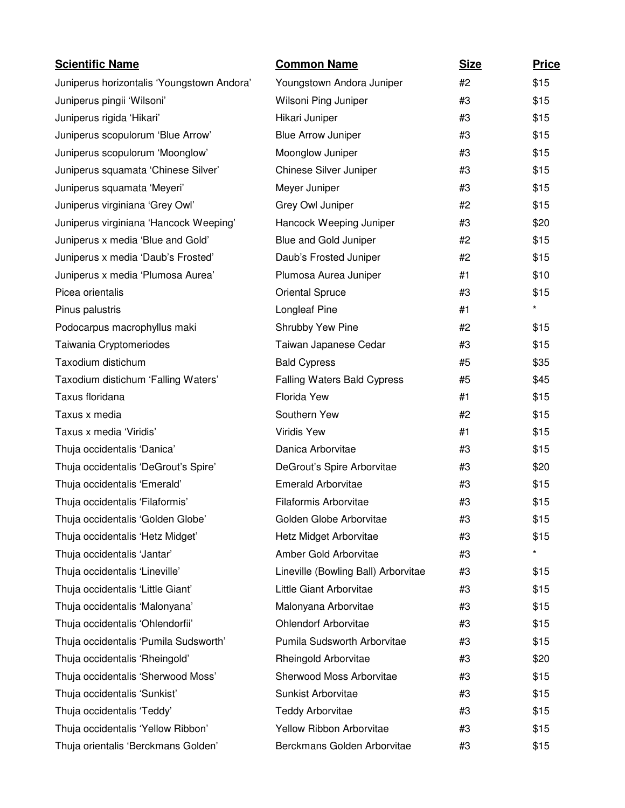| <b>Scientific Name</b>                     | <b>Common Name</b>                  | <b>Size</b> | <b>Price</b> |
|--------------------------------------------|-------------------------------------|-------------|--------------|
| Juniperus horizontalis 'Youngstown Andora' | Youngstown Andora Juniper           | #2          | \$15         |
| Juniperus pingii 'Wilsoni'                 | Wilsoni Ping Juniper                | #3          | \$15         |
| Juniperus rigida 'Hikari'                  | Hikari Juniper                      | #3          | \$15         |
| Juniperus scopulorum 'Blue Arrow'          | <b>Blue Arrow Juniper</b>           | #3          | \$15         |
| Juniperus scopulorum 'Moonglow'            | Moonglow Juniper                    | #3          | \$15         |
| Juniperus squamata 'Chinese Silver'        | Chinese Silver Juniper              | #3          | \$15         |
| Juniperus squamata 'Meyeri'                | Meyer Juniper                       | #3          | \$15         |
| Juniperus virginiana 'Grey Owl'            | Grey Owl Juniper                    | #2          | \$15         |
| Juniperus virginiana 'Hancock Weeping'     | Hancock Weeping Juniper             | #3          | \$20         |
| Juniperus x media 'Blue and Gold'          | Blue and Gold Juniper               | #2          | \$15         |
| Juniperus x media 'Daub's Frosted'         | Daub's Frosted Juniper              | #2          | \$15         |
| Juniperus x media 'Plumosa Aurea'          | Plumosa Aurea Juniper               | #1          | \$10         |
| Picea orientalis                           | <b>Oriental Spruce</b>              | #3          | \$15         |
| Pinus palustris                            | <b>Longleaf Pine</b>                | #1          | $\star$      |
| Podocarpus macrophyllus maki               | Shrubby Yew Pine                    | #2          | \$15         |
| Taiwania Cryptomeriodes                    | Taiwan Japanese Cedar               | #3          | \$15         |
| Taxodium distichum                         | <b>Bald Cypress</b>                 | #5          | \$35         |
| Taxodium distichum 'Falling Waters'        | <b>Falling Waters Bald Cypress</b>  | #5          | \$45         |
| Taxus floridana                            | Florida Yew                         | #1          | \$15         |
| Taxus x media                              | Southern Yew                        | #2          | \$15         |
| Taxus x media 'Viridis'                    | Viridis Yew                         | #1          | \$15         |
| Thuja occidentalis 'Danica'                | Danica Arborvitae                   | #3          | \$15         |
| Thuja occidentalis 'DeGrout's Spire'       | DeGrout's Spire Arborvitae          | #3          | \$20         |
| Thuja occidentalis 'Emerald'               | <b>Emerald Arborvitae</b>           | #3          | \$15         |
| Thuja occidentalis 'Filaformis'            | Filaformis Arborvitae               | #3          | \$15         |
| Thuja occidentalis 'Golden Globe'          | Golden Globe Arborvitae             | #3          | \$15         |
| Thuja occidentalis 'Hetz Midget'           | Hetz Midget Arborvitae              | #3          | \$15         |
| Thuja occidentalis 'Jantar'                | Amber Gold Arborvitae               | #3          | $\star$      |
| Thuja occidentalis 'Lineville'             | Lineville (Bowling Ball) Arborvitae | #3          | \$15         |
| Thuja occidentalis 'Little Giant'          | Little Giant Arborvitae             | #3          | \$15         |
| Thuja occidentalis 'Malonyana'             | Malonyana Arborvitae                | #3          | \$15         |
| Thuja occidentalis 'Ohlendorfii'           | <b>Ohlendorf Arborvitae</b>         | #3          | \$15         |
| Thuja occidentalis 'Pumila Sudsworth'      | Pumila Sudsworth Arborvitae         | #3          | \$15         |
| Thuja occidentalis 'Rheingold'             | Rheingold Arborvitae                | #3          | \$20         |
| Thuja occidentalis 'Sherwood Moss'         | Sherwood Moss Arborvitae            | #3          | \$15         |
| Thuja occidentalis 'Sunkist'               | Sunkist Arborvitae                  | #3          | \$15         |
| Thuja occidentalis 'Teddy'                 | <b>Teddy Arborvitae</b>             | #3          | \$15         |
| Thuja occidentalis 'Yellow Ribbon'         | Yellow Ribbon Arborvitae            | #3          | \$15         |
| Thuja orientalis 'Berckmans Golden'        | Berckmans Golden Arborvitae         | #3          | \$15         |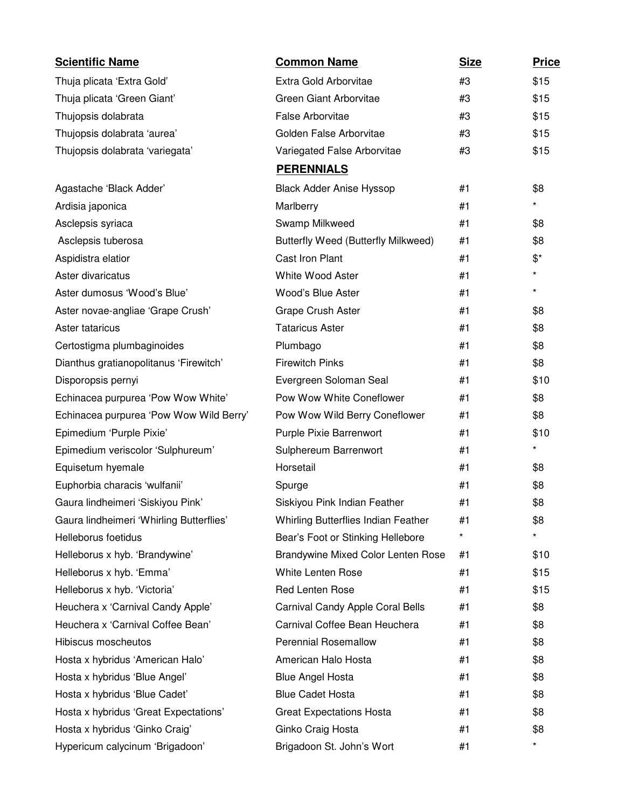| <b>Scientific Name</b>                   | <b>Common Name</b>                         | <b>Size</b> | <b>Price</b>     |
|------------------------------------------|--------------------------------------------|-------------|------------------|
| Thuja plicata 'Extra Gold'               | Extra Gold Arborvitae                      | #3          | \$15             |
| Thuja plicata 'Green Giant'              | Green Giant Arborvitae                     | #3          | \$15             |
| Thujopsis dolabrata                      | <b>False Arborvitae</b>                    | #3          | \$15             |
| Thujopsis dolabrata 'aurea'              | Golden False Arborvitae                    | #3          | \$15             |
| Thujopsis dolabrata 'variegata'          | Variegated False Arborvitae                | #3          | \$15             |
|                                          | <b>PERENNIALS</b>                          |             |                  |
| Agastache 'Black Adder'                  | <b>Black Adder Anise Hyssop</b>            | #1          | \$8              |
| Ardisia japonica                         | Marlberry                                  | #1          | $\star$          |
| Asclepsis syriaca                        | Swamp Milkweed                             | #1          | \$8              |
| Asclepsis tuberosa                       | <b>Butterfly Weed (Butterfly Milkweed)</b> | #1          | \$8              |
| Aspidistra elatior                       | Cast Iron Plant                            | #1          | $\mathfrak{F}^*$ |
| Aster divaricatus                        | White Wood Aster                           | #1          | $\star$          |
| Aster dumosus 'Wood's Blue'              | Wood's Blue Aster                          | #1          | $\star$          |
| Aster novae-angliae 'Grape Crush'        | <b>Grape Crush Aster</b>                   | #1          | \$8              |
| Aster tataricus                          | <b>Tataricus Aster</b>                     | #1          | \$8              |
| Certostigma plumbaginoides               | Plumbago                                   | #1          | \$8              |
| Dianthus gratianopolitanus 'Firewitch'   | <b>Firewitch Pinks</b>                     | #1          | \$8              |
| Disporopsis pernyi                       | Evergreen Soloman Seal                     | #1          | \$10             |
| Echinacea purpurea 'Pow Wow White'       | Pow Wow White Coneflower                   | #1          | \$8              |
| Echinacea purpurea 'Pow Wow Wild Berry'  | Pow Wow Wild Berry Coneflower              | #1          | \$8              |
| Epimedium 'Purple Pixie'                 | Purple Pixie Barrenwort                    | #1          | \$10             |
| Epimedium veriscolor 'Sulphureum'        | Sulphereum Barrenwort                      | #1          | $\star$          |
| Equisetum hyemale                        | Horsetail                                  | #1          | \$8              |
| Euphorbia characis 'wulfanii'            | Spurge                                     | #1          | \$8              |
| Gaura lindheimeri 'Siskiyou Pink'        | Siskiyou Pink Indian Feather               | #1          | \$8              |
| Gaura lindheimeri 'Whirling Butterflies' | <b>Whirling Butterflies Indian Feather</b> | #1          | \$8              |
| Helleborus foetidus                      | Bear's Foot or Stinking Hellebore          | $^\star$    | $\star$          |
| Helleborus x hyb. 'Brandywine'           | Brandywine Mixed Color Lenten Rose         | #1          | \$10             |
| Helleborus x hyb. 'Emma'                 | White Lenten Rose                          | #1          | \$15             |
| Helleborus x hyb. 'Victoria'             | <b>Red Lenten Rose</b>                     | #1          | \$15             |
| Heuchera x 'Carnival Candy Apple'        | Carnival Candy Apple Coral Bells           | #1          | \$8              |
| Heuchera x 'Carnival Coffee Bean'        | Carnival Coffee Bean Heuchera              | #1          | \$8              |
| Hibiscus moscheutos                      | <b>Perennial Rosemallow</b>                | #1          | \$8              |
| Hosta x hybridus 'American Halo'         | American Halo Hosta                        | #1          | \$8              |
| Hosta x hybridus 'Blue Angel'            | <b>Blue Angel Hosta</b>                    | #1          | \$8              |
| Hosta x hybridus 'Blue Cadet'            | <b>Blue Cadet Hosta</b>                    | #1          | \$8              |
| Hosta x hybridus 'Great Expectations'    | <b>Great Expectations Hosta</b>            | #1          | \$8              |
| Hosta x hybridus 'Ginko Craig'           | Ginko Craig Hosta                          | #1          | \$8              |
| Hypericum calycinum 'Brigadoon'          | Brigadoon St. John's Wort                  | #1          | $\star$          |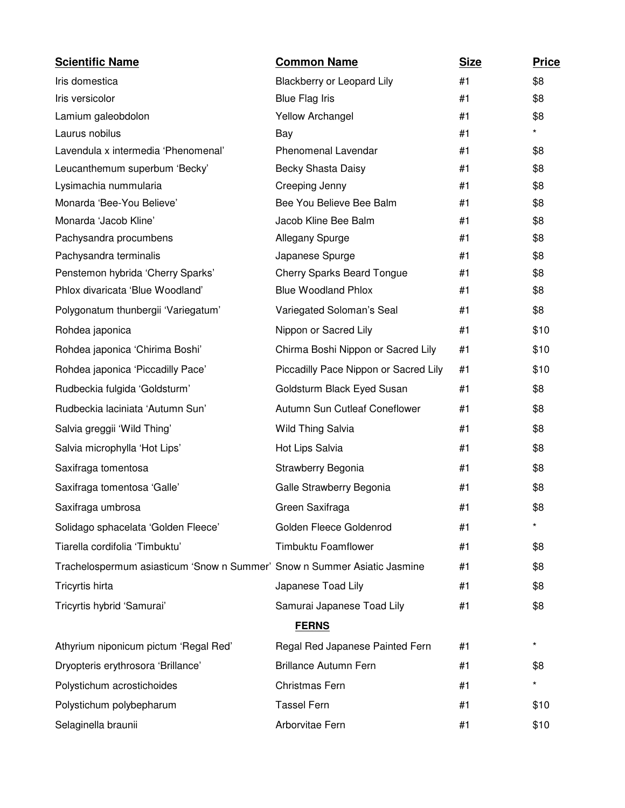| <b>Scientific Name</b>                                                   | <b>Common Name</b>                    | <b>Size</b> | <b>Price</b> |
|--------------------------------------------------------------------------|---------------------------------------|-------------|--------------|
| Iris domestica                                                           | Blackberry or Leopard Lily            | #1          | \$8          |
| Iris versicolor                                                          | <b>Blue Flag Iris</b>                 | #1          | \$8          |
| Lamium galeobdolon                                                       | <b>Yellow Archangel</b>               | #1          | \$8          |
| Laurus nobilus                                                           | Bay                                   | #1          | *            |
| Lavendula x intermedia 'Phenomenal'                                      | Phenomenal Lavendar                   | #1          | \$8          |
| Leucanthemum superbum 'Becky'                                            | Becky Shasta Daisy                    | #1          | \$8          |
| Lysimachia nummularia                                                    | Creeping Jenny                        | #1          | \$8          |
| Monarda 'Bee-You Believe'                                                | Bee You Believe Bee Balm              | #1          | \$8          |
| Monarda 'Jacob Kline'                                                    | Jacob Kline Bee Balm                  | #1          | \$8          |
| Pachysandra procumbens                                                   | Allegany Spurge                       | #1          | \$8          |
| Pachysandra terminalis                                                   | Japanese Spurge                       | #1          | \$8          |
| Penstemon hybrida 'Cherry Sparks'                                        | <b>Cherry Sparks Beard Tongue</b>     | #1          | \$8          |
| Phlox divaricata 'Blue Woodland'                                         | <b>Blue Woodland Phlox</b>            | #1          | \$8          |
| Polygonatum thunbergii 'Variegatum'                                      | Variegated Soloman's Seal             | #1          | \$8          |
| Rohdea japonica                                                          | Nippon or Sacred Lily                 | #1          | \$10         |
| Rohdea japonica 'Chirima Boshi'                                          | Chirma Boshi Nippon or Sacred Lily    | #1          | \$10         |
| Rohdea japonica 'Piccadilly Pace'                                        | Piccadilly Pace Nippon or Sacred Lily | #1          | \$10         |
| Rudbeckia fulgida 'Goldsturm'                                            | Goldsturm Black Eyed Susan            | #1          | \$8          |
| Rudbeckia laciniata 'Autumn Sun'                                         | Autumn Sun Cutleaf Coneflower         | #1          | \$8          |
| Salvia greggii 'Wild Thing'                                              | Wild Thing Salvia                     | #1          | \$8          |
| Salvia microphylla 'Hot Lips'                                            | Hot Lips Salvia                       | #1          | \$8          |
| Saxifraga tomentosa                                                      | Strawberry Begonia                    | #1          | \$8          |
| Saxifraga tomentosa 'Galle'                                              | Galle Strawberry Begonia              | #1          | \$8          |
| Saxifraga umbrosa                                                        | Green Saxifraga                       | #1          | \$8          |
| Solidago sphacelata 'Golden Fleece'                                      | Golden Fleece Goldenrod               | #1          |              |
| Tiarella cordifolia 'Timbuktu'                                           | <b>Timbuktu Foamflower</b>            | #1          | \$8          |
| Trachelospermum asiasticum 'Snow n Summer' Snow n Summer Asiatic Jasmine |                                       | #1          | \$8          |
| Tricyrtis hirta                                                          | Japanese Toad Lily                    | #1          | \$8          |
| Tricyrtis hybrid 'Samurai'                                               | Samurai Japanese Toad Lily            | #1          | \$8          |
|                                                                          | <b>FERNS</b>                          |             |              |
| Athyrium niponicum pictum 'Regal Red'                                    | Regal Red Japanese Painted Fern       | #1          | *            |
| Dryopteris erythrosora 'Brillance'                                       | <b>Brillance Autumn Fern</b>          | #1          | \$8          |
| Polystichum acrostichoides                                               | Christmas Fern                        | #1          | *            |
| Polystichum polybepharum                                                 | <b>Tassel Fern</b>                    | #1          | \$10         |
| Selaginella braunii                                                      | Arborvitae Fern                       | #1          | \$10         |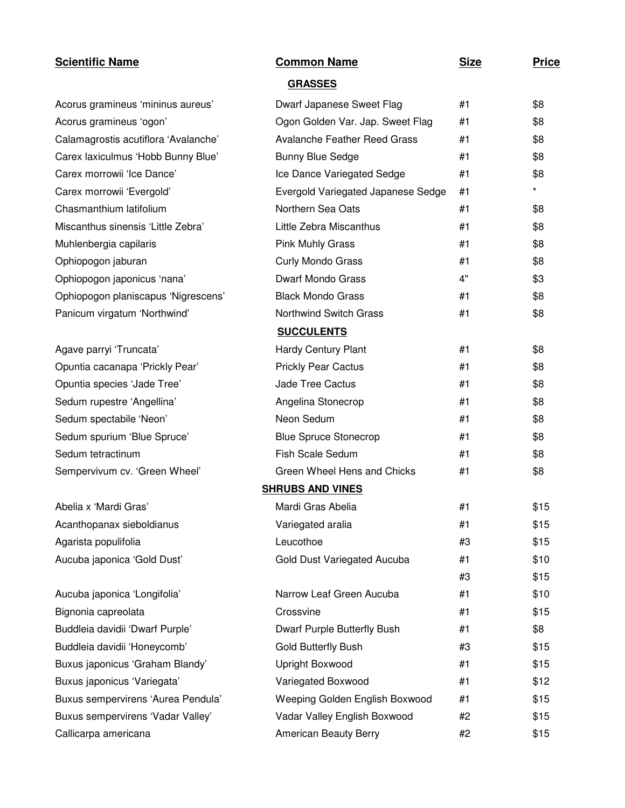| <b>Scientific Name</b>               | <b>Common Name</b>                  | <b>Size</b> | <b>Price</b> |
|--------------------------------------|-------------------------------------|-------------|--------------|
|                                      | <b>GRASSES</b>                      |             |              |
| Acorus gramineus 'mininus aureus'    | Dwarf Japanese Sweet Flag           | #1          | \$8          |
| Acorus gramineus 'ogon'              | Ogon Golden Var. Jap. Sweet Flag    | #1          | \$8          |
| Calamagrostis acutiflora 'Avalanche' | <b>Avalanche Feather Reed Grass</b> | #1          | \$8          |
| Carex laxiculmus 'Hobb Bunny Blue'   | <b>Bunny Blue Sedge</b>             | #1          | \$8          |
| Carex morrowii 'Ice Dance'           | Ice Dance Variegated Sedge          | #1          | \$8          |
| Carex morrowii 'Evergold'            | Evergold Variegated Japanese Sedge  | #1          | $\star$      |
| Chasmanthium latifolium              | Northern Sea Oats                   | #1          | \$8          |
| Miscanthus sinensis 'Little Zebra'   | Little Zebra Miscanthus             | #1          | \$8          |
| Muhlenbergia capilaris               | <b>Pink Muhly Grass</b>             | #1          | \$8          |
| Ophiopogon jaburan                   | Curly Mondo Grass                   | #1          | \$8          |
| Ophiopogon japonicus 'nana'          | <b>Dwarf Mondo Grass</b>            | 4"          | \$3          |
| Ophiopogon planiscapus 'Nigrescens'  | <b>Black Mondo Grass</b>            | #1          | \$8          |
| Panicum virgatum 'Northwind'         | Northwind Switch Grass              | #1          | \$8          |
|                                      | <b>SUCCULENTS</b>                   |             |              |
| Agave parryi 'Truncata'              | <b>Hardy Century Plant</b>          | #1          | \$8          |
| Opuntia cacanapa 'Prickly Pear'      | <b>Prickly Pear Cactus</b>          | #1          | \$8          |
| Opuntia species 'Jade Tree'          | <b>Jade Tree Cactus</b>             | #1          | \$8          |
| Sedum rupestre 'Angellina'           | Angelina Stonecrop                  | #1          | \$8          |
| Sedum spectabile 'Neon'              | Neon Sedum                          | #1          | \$8          |
| Sedum spurium 'Blue Spruce'          | <b>Blue Spruce Stonecrop</b>        | #1          | \$8          |
| Sedum tetractinum                    | <b>Fish Scale Sedum</b>             | #1          | \$8          |
| Sempervivum cv. 'Green Wheel'        | Green Wheel Hens and Chicks         | #1          | \$8          |
|                                      | <b>SHRUBS AND VINES</b>             |             |              |
| Abelia x 'Mardi Gras'                | Mardi Gras Abelia                   | #1          | \$15         |
| Acanthopanax sieboldianus            | Variegated aralia                   | #1          | \$15         |
| Agarista populifolia                 | Leucothoe                           | #3          | \$15         |
| Aucuba japonica 'Gold Dust'          | Gold Dust Variegated Aucuba         | #1          | \$10         |
|                                      |                                     | #3          | \$15         |
| Aucuba japonica 'Longifolia'         | Narrow Leaf Green Aucuba            | #1          | \$10         |
| Bignonia capreolata                  | Crossvine                           | #1          | \$15         |
| Buddleia davidii 'Dwarf Purple'      | Dwarf Purple Butterfly Bush         | #1          | \$8          |
| Buddleia davidii 'Honeycomb'         | Gold Butterfly Bush                 | #3          | \$15         |
| Buxus japonicus 'Graham Blandy'      | Upright Boxwood                     | #1          | \$15         |
| Buxus japonicus 'Variegata'          | Variegated Boxwood                  | #1          | \$12         |
| Buxus sempervirens 'Aurea Pendula'   | Weeping Golden English Boxwood      | #1          | \$15         |
| Buxus sempervirens 'Vadar Valley'    | Vadar Valley English Boxwood        | #2          | \$15         |
| Callicarpa americana                 | American Beauty Berry               | #2          | \$15         |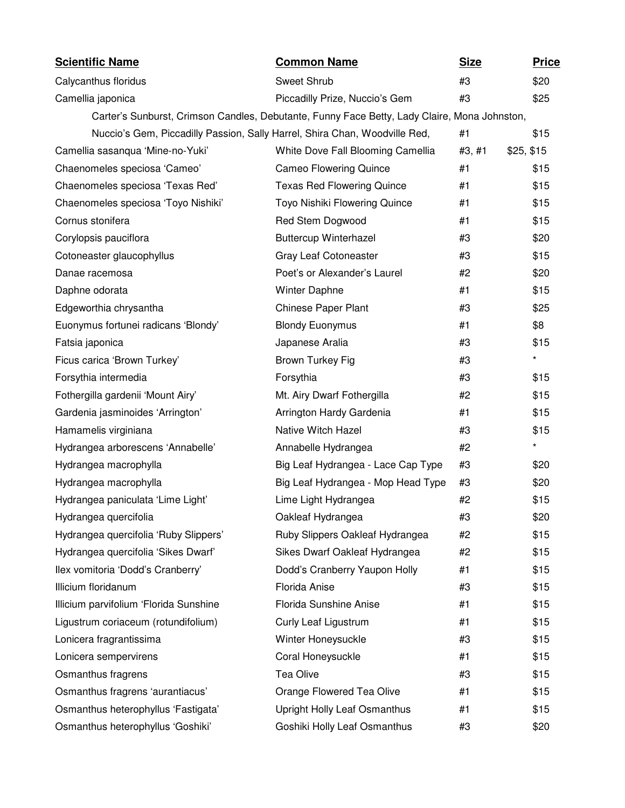| <b>Scientific Name</b>                                                     | <b>Common Name</b>                                                                           | <b>Size</b> |            | <b>Price</b> |
|----------------------------------------------------------------------------|----------------------------------------------------------------------------------------------|-------------|------------|--------------|
| Calycanthus floridus                                                       | Sweet Shrub                                                                                  | #3          |            | \$20         |
| Camellia japonica                                                          | Piccadilly Prize, Nuccio's Gem                                                               | #3          |            | \$25         |
|                                                                            | Carter's Sunburst, Crimson Candles, Debutante, Funny Face Betty, Lady Claire, Mona Johnston, |             |            |              |
| Nuccio's Gem, Piccadilly Passion, Sally Harrel, Shira Chan, Woodville Red, |                                                                                              | #1          |            | \$15         |
| Camellia sasanqua 'Mine-no-Yuki'                                           | White Dove Fall Blooming Camellia                                                            | #3, #1      | \$25, \$15 |              |
| Chaenomeles speciosa 'Cameo'                                               | <b>Cameo Flowering Quince</b>                                                                | #1          |            | \$15         |
| Chaenomeles speciosa 'Texas Red'                                           | <b>Texas Red Flowering Quince</b>                                                            | #1          |            | \$15         |
| Chaenomeles speciosa 'Toyo Nishiki'                                        | Toyo Nishiki Flowering Quince                                                                | #1          |            | \$15         |
| Cornus stonifera                                                           | Red Stem Dogwood                                                                             | #1          |            | \$15         |
| Corylopsis pauciflora                                                      | <b>Buttercup Winterhazel</b>                                                                 | #3          |            | \$20         |
| Cotoneaster glaucophyllus                                                  | Gray Leaf Cotoneaster                                                                        | #3          |            | \$15         |
| Danae racemosa                                                             | Poet's or Alexander's Laurel                                                                 | #2          |            | \$20         |
| Daphne odorata                                                             | <b>Winter Daphne</b>                                                                         | #1          |            | \$15         |
| Edgeworthia chrysantha                                                     | Chinese Paper Plant                                                                          | #3          |            | \$25         |
| Euonymus fortunei radicans 'Blondy'                                        | <b>Blondy Euonymus</b>                                                                       | #1          |            | \$8          |
| Fatsia japonica                                                            | Japanese Aralia                                                                              | #3          |            | \$15         |
| Ficus carica 'Brown Turkey'                                                | Brown Turkey Fig                                                                             | #3          |            | $\star$      |
| Forsythia intermedia                                                       | Forsythia                                                                                    | #3          |            | \$15         |
| Fothergilla gardenii 'Mount Airy'                                          | Mt. Airy Dwarf Fothergilla                                                                   | #2          |            | \$15         |
| Gardenia jasminoides 'Arrington'                                           | Arrington Hardy Gardenia                                                                     | #1          |            | \$15         |
| Hamamelis virginiana                                                       | Native Witch Hazel                                                                           | #3          |            | \$15         |
| Hydrangea arborescens 'Annabelle'                                          | Annabelle Hydrangea                                                                          | #2          |            | *            |
| Hydrangea macrophylla                                                      | Big Leaf Hydrangea - Lace Cap Type                                                           | #3          |            | \$20         |
| Hydrangea macrophylla                                                      | Big Leaf Hydrangea - Mop Head Type                                                           | #3          |            | \$20         |
| Hydrangea paniculata 'Lime Light'                                          | Lime Light Hydrangea                                                                         | #2          |            | \$15         |
| Hydrangea quercifolia                                                      | Oakleaf Hydrangea                                                                            | #3          |            | \$20         |
| Hydrangea quercifolia 'Ruby Slippers'                                      | Ruby Slippers Oakleaf Hydrangea                                                              | #2          |            | \$15         |
| Hydrangea quercifolia 'Sikes Dwarf'                                        | Sikes Dwarf Oakleaf Hydrangea                                                                | #2          |            | \$15         |
| Ilex vomitoria 'Dodd's Cranberry'                                          | Dodd's Cranberry Yaupon Holly                                                                | #1          |            | \$15         |
| Illicium floridanum                                                        | Florida Anise                                                                                | #3          |            | \$15         |
| Illicium parvifolium 'Florida Sunshine                                     | Florida Sunshine Anise                                                                       | #1          |            | \$15         |
| Ligustrum coriaceum (rotundifolium)                                        | <b>Curly Leaf Ligustrum</b>                                                                  | #1          |            | \$15         |
| Lonicera fragrantissima                                                    | Winter Honeysuckle                                                                           | #3          |            | \$15         |
| Lonicera sempervirens                                                      | Coral Honeysuckle                                                                            | #1          |            | \$15         |
| Osmanthus fragrens                                                         | Tea Olive                                                                                    | #3          |            | \$15         |
| Osmanthus fragrens 'aurantiacus'                                           | Orange Flowered Tea Olive                                                                    | #1          |            | \$15         |
| Osmanthus heterophyllus 'Fastigata'                                        | Upright Holly Leaf Osmanthus                                                                 | #1          |            | \$15         |
| Osmanthus heterophyllus 'Goshiki'                                          | Goshiki Holly Leaf Osmanthus                                                                 | #3          |            | \$20         |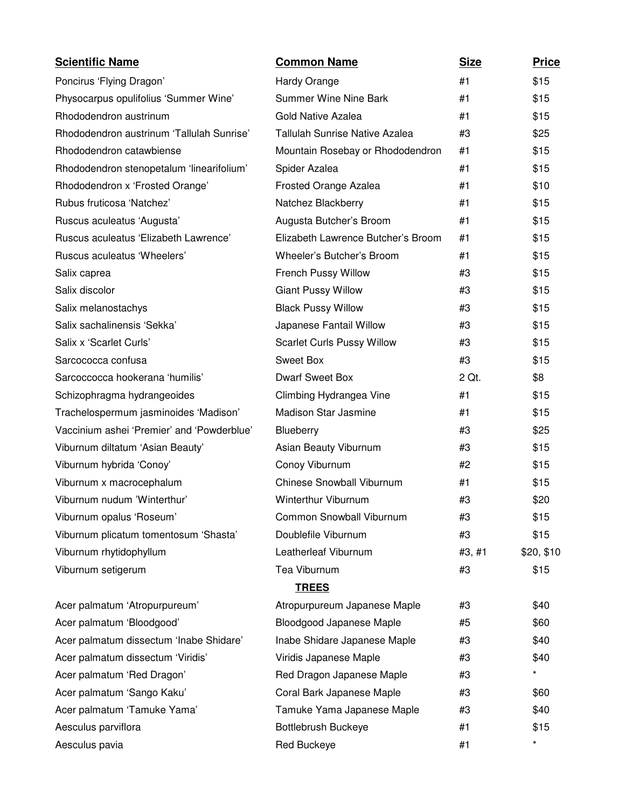| <b>Scientific Name</b>                     | <b>Common Name</b>                    | <b>Size</b> | <b>Price</b> |
|--------------------------------------------|---------------------------------------|-------------|--------------|
| Poncirus 'Flying Dragon'                   | Hardy Orange                          | #1          | \$15         |
| Physocarpus opulifolius 'Summer Wine'      | <b>Summer Wine Nine Bark</b>          | #1          | \$15         |
| Rhododendron austrinum                     | <b>Gold Native Azalea</b>             | #1          | \$15         |
| Rhododendron austrinum 'Tallulah Sunrise'  | <b>Tallulah Sunrise Native Azalea</b> | #3          | \$25         |
| Rhododendron catawbiense                   | Mountain Rosebay or Rhododendron      | #1          | \$15         |
| Rhododendron stenopetalum 'linearifolium'  | Spider Azalea                         | #1          | \$15         |
| Rhododendron x 'Frosted Orange'            | Frosted Orange Azalea                 | #1          | \$10         |
| Rubus fruticosa 'Natchez'                  | Natchez Blackberry                    | #1          | \$15         |
| Ruscus aculeatus 'Augusta'                 | Augusta Butcher's Broom               | #1          | \$15         |
| Ruscus aculeatus 'Elizabeth Lawrence'      | Elizabeth Lawrence Butcher's Broom    | #1          | \$15         |
| Ruscus aculeatus 'Wheelers'                | Wheeler's Butcher's Broom             | #1          | \$15         |
| Salix caprea                               | French Pussy Willow                   | #3          | \$15         |
| Salix discolor                             | <b>Giant Pussy Willow</b>             | #3          | \$15         |
| Salix melanostachys                        | <b>Black Pussy Willow</b>             | #3          | \$15         |
| Salix sachalinensis 'Sekka'                | Japanese Fantail Willow               | #3          | \$15         |
| Salix x 'Scarlet Curls'                    | <b>Scarlet Curls Pussy Willow</b>     | #3          | \$15         |
| Sarcococca confusa                         | <b>Sweet Box</b>                      | #3          | \$15         |
| Sarcoccocca hookerana 'humilis'            | <b>Dwarf Sweet Box</b>                | 2 Qt.       | \$8          |
| Schizophragma hydrangeoides                | Climbing Hydrangea Vine               | #1          | \$15         |
| Trachelospermum jasminoides 'Madison'      | <b>Madison Star Jasmine</b>           | #1          | \$15         |
| Vaccinium ashei 'Premier' and 'Powderblue' | <b>Blueberry</b>                      | #3          | \$25         |
| Viburnum diltatum 'Asian Beauty'           | Asian Beauty Viburnum                 | #3          | \$15         |
| Viburnum hybrida 'Conoy'                   | Conoy Viburnum                        | #2          | \$15         |
| Viburnum x macrocephalum                   | <b>Chinese Snowball Viburnum</b>      | #1          | \$15         |
| Viburnum nudum 'Winterthur'                | <b>Winterthur Viburnum</b>            | #3          | \$20         |
| Viburnum opalus 'Roseum'                   | Common Snowball Viburnum              | #3          | \$15         |
| Viburnum plicatum tomentosum 'Shasta'      | Doublefile Viburnum                   | #3          | \$15         |
| Viburnum rhytidophyllum                    | Leatherleaf Viburnum                  | #3, #1      | \$20, \$10   |
| Viburnum setigerum                         | Tea Viburnum                          | #3          | \$15         |
|                                            | <b>TREES</b>                          |             |              |
| Acer palmatum 'Atropurpureum'              | Atropurpureum Japanese Maple          | #3          | \$40         |
| Acer palmatum 'Bloodgood'                  | Bloodgood Japanese Maple              | #5          | \$60         |
| Acer palmatum dissectum 'Inabe Shidare'    | Inabe Shidare Japanese Maple          | #3          | \$40         |
| Acer palmatum dissectum 'Viridis'          | Viridis Japanese Maple                | #3          | \$40         |
| Acer palmatum 'Red Dragon'                 | Red Dragon Japanese Maple             | #3          | $\star$      |
| Acer palmatum 'Sango Kaku'                 | Coral Bark Japanese Maple             | #3          | \$60         |
| Acer palmatum 'Tamuke Yama'                | Tamuke Yama Japanese Maple            | #3          | \$40         |
| Aesculus parviflora                        | <b>Bottlebrush Buckeye</b>            | #1          | \$15         |
| Aesculus pavia                             | Red Buckeye                           | #1          | $\star$      |